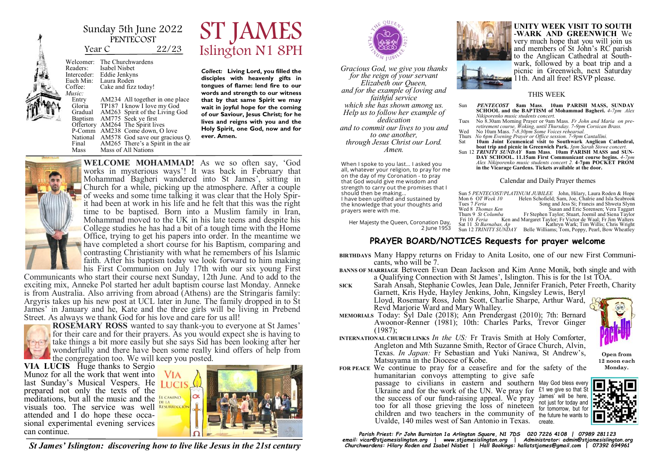

## ST JAMES Islington N1 8PH

*Collect:* **Living Lord, you filled the disciples with heavenly gifts in tongues of flame: lend fire to our words and strength to our witness that by that same Spirit we may wait in joyful hope for the coming of our Saviour, Jesus Christ; for he lives and reigns with you and the Holy Spirit, one God, now and for ever. Amen.** 



**WELCOME MOHAMMAD!** As we so often say, 'God works in mysterious ways'! It was back in February that Mohammad Bagheri wandered into St James', sitting in Church for a while, picking up the atmosphere. After a couple of weeks and some time talking it was clear that the Holy Spirit had been at work in his life and he felt that this was the right time to be baptised. Born into a Muslim family in Iran, Mohammad moved to the UK in his late teens and despite his College studies he has had a bit of a tough time with the Home Office, trying to get his papers into order. In the meantime we have completed a short course for his Baptism, comparing and contrasting Christianity with what he remembers of his Islamic faith. After his baptism today we look forward to him making his First Communion on July 17th with our six young First

Communicants who start their course next Sunday, 12th June. And to add to the exciting mix, Anneke Pol started her adult baptism course last Monday. Anneke is from Australia. Also arriving from abroad (Athens) are the Stringaris family: Argyris takes up his new post at UCL later in June. The family dropped in to St James' in January and he, Kate and the three girls will be living in Prebend Street. As always we thank God for his love and care for us all!



**ROSEMARY ROSS** wanted to say thank-you to everyone at St James' for their care and for their prayers. As you would expect she is having to that the things a bit more easily but she says Sid has been looking after her wonderfully and there have been some really kind offers of help from the congregation too. We will keep you posted.

**VIA LUCIS** Huge thanks to Sergio Munoz for all the work that went into last Sunday's Musical Vespers. He **HHCIS** prepared not only the texts of the meditations, but all the music and the  $\frac{E_{\text{LAMINO}}}{P_{\text{LAMINO}}}$ visuals too. The service was well **RESURRECCION** attended and I do hope these occasional experimental evening services can continue.



*St James' Islington: discovering how to live like Jesus in the 21st century*



*Gracious God, we give you thanks for the reign of your servant Elizabeth our Queen, and for the example of loving and faithful service which she has shown among us. Help us to follow her example of dedication and to commit our lives to you and to one another, through Jesus Christ our Lord. Amen.*

When I spoke to you last... I asked you all, whatever your religion, to pray for me on the day of my Coronation - to pray that God would give me wisdom and strength to carry out the promises that I should then be making... I have been uplifted and sustained by the knowledge that your thoughts and prayers were with me.

Her Majesty the Queen, Coronation Day, 2 June 1953

#### **PRAYER BOARD/NOTICES Requests for prayer welcome**

**BIRTHDAYS** Many Happy returns on Friday to Anita Losito, one of our new First Communicants, who will be 7.

- **BANNS OF MARRIAGE** Between Evan Dean Jackson and Kim Anne Monik, both single and with a Qualifying Connection with St James', Islington. This is for the 1st TOA.
- **SICK** Sarah Ansah, Stephanie Cowles, Jean Dale, Jennifer Franich, Peter Freeth, Charity Garnett, Kris Hyde, Hayley Jenkins, John, Kingsley Lewis, Beryl

Lloyd, Rosemary Ross, John Scott, Charlie Sharpe, Arthur Ward, Revd Marjorie Ward and Mary Whalley.

- **MEMORIALS** Today: Syl Dale (2018); Ann Prendergast (2010); 7th: Bernard Awoonor-Renner (1981); 10th: Charles Parks, Trevor Ginger (1987);
- **INTERNATIONAL CHURCH LINKS** *In the US:* Fr Travis Smith at Holy Comforter, Angleton and Mth Suzanne Smith, Rector of Grace Church, Alvin, Texas. *In Japan:* Fr Sebastian and Yuki Naniwa, St Andrew's, Matsuyama in the Diocese of Kobe.
- **FOR PEACE** We continue to pray for a ceasefire and for the safety of the humanitarian convoys attempting to give safe

passage to civilians in eastern and southern May God bless every Ukraine and for the work of the UN. We pray for £1 we give so that St the success of our fund-raising appeal. We pray lames' will be here, too for all those grieving the loss of nineteen  $f_{\text{tot}}$  hot just for today and too for all those grieving the loss of nineteen  $f_{\text{tot}}$  tomorrow but for children and two teachers in the community of  $\frac{1}{10}$  future he wants to Uvalde, 140 miles west of San Antonio in Texas. create.

for tomorrow, but for

Parish Priest: Fr John Burniston 1a Arlington Square, N1 7DS 020 7226 4108 | 07989 281123<br>email: vicar@stjamesislington.org | www.stjamesislington.org | Administrator: admin@stjamesislington.org *Churchwardens: Hilary Roden and Isabel Nisbet* **|** *Hall Bookings: hallatstjames@gmail.com* **|** *07392 694961* 



THIS WEEK Sun *PENTECOST* **8am Mass**. **10am PARISH MASS, SUNDAY SCHOOL and the BAPTISM of Mohammad Bagheri.** *4-7pm Alex* 

Tues No 8.30am Morning Prayer or 9am Mass. *Fr John and Maria on preretirement course, Woking, until Thursday. 7-9pm Corsican Brass.* 

**in the Vicarage Gardens. Tickets available at the door.** 

Calendar and Daily Prayer themes Sun 5 *PENTECOST/PLATINUM JUBILEE* John, Hilary, Laura Roden & Hope Mon 6 OT Week 10 Helen Schofield; Sam, Joe, Chalrie and Isla Seabrook<br>Tues 7 Feria Song and Jess Si; Francis and Shweta Slynn Tues 7 *Feria* Song and Jess Si; Francis and Shweta Slynn<br>
Wed 8 *Thomas Ken* Susan and Eric Sorensen: Vera Taggart Wed 8 *Thomas Ken* Susan and Eric Sorensen; Vera Taggart<br>Thurs 9 *St Columba* Fr Stephen Taylor; Stuart, Joemil and Siena Taylor Thurs 9 *St Columba* Fr Stephen Taylor; Stuart, Joemil and Siena Taylor

Sat 11 St Barnabas, Ap **1988 (Kathryn Wark; Tim Willis; Chris Wright** Sun 12 *TRINITY SUNDAY* Belle Williams; Tom, Poppy, Pearl, Bow Wheatley

Ken and Margaret Taylor; Fr Victor de Waal; Fr Jim Walters

10am Joint Ecumenical visit to Southwark Anglican Cathedral, **boat trip and picnic in Greenwich Park.** *3pm Sarah Stowe concert.*  Sun 12 *TRINITY SUNDAY* **8am Mass**. **10am PARISH MASS and SUN-DAY SCHOOL. 11.15am First Communicant course begins.** *4-7pm Alex Nikiporenko music students concert 2.* **4-7pm POCKET PROM** 

*Nikiporenko music students concert.*

Wed No 10am Mass. *7-8.30pm Some Voices rehearsal.*  Thurs *No 6pm Evening Prayer or Office session. 7-9pm Cantallini.*



**Open from 12 noon each Monday.**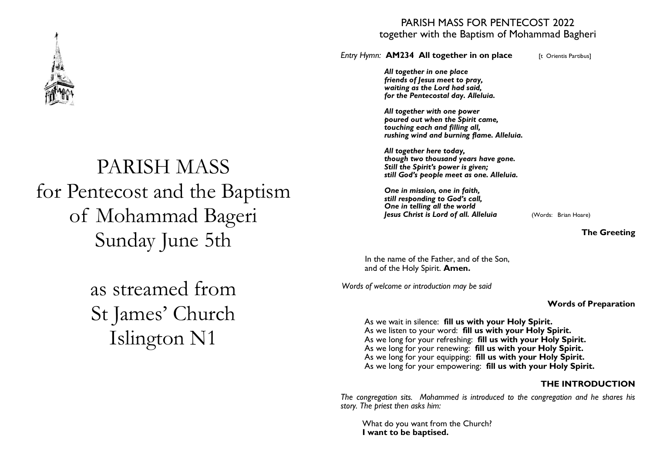

# PARISH MASS for Pentecost and the Baptism of Mohammad Bageri Sunday June 5th

as streamed from St James' Church Islington N1

### PARISH MASS FOR PENTECOST 2022 together with the Baptism of Mohammad Bagheri

*Entry Hymn:* **AM234 All together in on place If Orientis Partibus** 

*All together in one place friends of Jesus meet to pray, waiting as the Lord had said, for the Pentecostal day. Alleluia.* 

*All together with one power poured out when the Spirit came, touching each and filling all, rushing wind and burning flame. Alleluia.*

*All together here today, though two thousand years have gone. Still the Spirit's power is given; still God's people meet as one. Alleluia.*

*One in mission, one in faith, still responding to God's call, One in telling all the world Jesus Christ is Lord of all. Alleluia* (Words: Brian Hoare)

**The Greeting**

In the name of the Father, and of the Son, and of the Holy Spirit. **Amen.**

*Words of welcome or introduction may be said*

#### **Words of Preparation**

As we wait in silence: **fill us with your Holy Spirit.** As we listen to your word: **fill us with your Holy Spirit.** As we long for your refreshing: **fill us with your Holy Spirit.** As we long for your renewing: **fill us with your Holy Spirit.** As we long for your equipping: **fill us with your Holy Spirit.** As we long for your empowering: **fill us with your Holy Spirit.**

#### **THE INTRODUCTION**

*The congregation sits. Mohammed is introduced to the congregation and he shares his story. The priest then asks him:*

What do you want from the Church? **I want to be baptised.**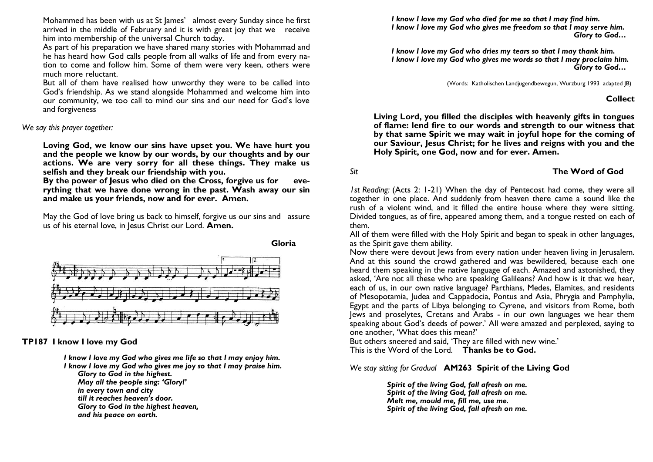Mohammed has been with us at St James' almost every Sunday since he first arrived in the middle of February and it is with great joy that we receive him into membership of the universal Church today.

As part of his preparation we have shared many stories with Mohammad and he has heard how God calls people from all walks of life and from every nation to come and follow him. Some of them were very keen, others were much more reluctant.

But all of them have realised how unworthy they were to be called into God's friendship. As we stand alongside Mohammed and welcome him into our community, we too call to mind our sins and our need for God's love and forgiveness

#### *We say this prayer together:*

**Loving God, we know our sins have upset you. We have hurt you and the people we know by our words, by our thoughts and by our actions. We are very sorry for all these things. They make us selfish and they break our friendship with you.** 

By the power of Jesus who died on the Cross, forgive us for eve**rything that we have done wrong in the past. Wash away our sin and make us your friends, now and for ever. Amen.** 

May the God of love bring us back to himself, forgive us our sins and assure us of his eternal love, in Jesus Christ our Lord. **Amen.**



#### **TP187 I know I love my God**

*I know I love my God who gives me life so that I may enjoy him. I know I love my God who gives me joy so that I may praise him.*

*Glory to God in the highest. May all the people sing: 'Glory!' in every town and city till it reaches heaven's door. Glory to God in the highest heaven, and his peace on earth.* 

*I know I love my God who died for me so that I may find him. I know I love my God who gives me freedom so that I may serve him. Glory to God…*

*I know I love my God who dries my tears so that I may thank him. I know I love my God who gives me words so that I may proclaim him. Glory to God…*

(Words: Katholischen Landjugendbewegun, Wurzburg 1993 adapted JB)

#### **Collect**

**Living Lord, you filled the disciples with heavenly gifts in tongues of flame: lend fire to our words and strength to our witness that by that same Spirit we may wait in joyful hope for the coming of our Saviour, Jesus Christ; for he lives and reigns with you and the Holy Spirit, one God, now and for ever. Amen.** 

#### *Sit* **The Word of God**

*1st Reading:* (Acts 2: 1-21) When the day of Pentecost had come, they were all together in one place. And suddenly from heaven there came a sound like the rush of a violent wind, and it filled the entire house where they were sitting. Divided tongues, as of fire, appeared among them, and a tongue rested on each of them.

All of them were filled with the Holy Spirit and began to speak in other languages, as the Spirit gave them ability.

Now there were devout Jews from every nation under heaven living in Jerusalem. And at this sound the crowd gathered and was bewildered, because each one heard them speaking in the native language of each. Amazed and astonished, they asked, 'Are not all these who are speaking Galileans? And how is it that we hear, each of us, in our own native language? Parthians, Medes, Elamites, and residents of Mesopotamia, Judea and Cappadocia, Pontus and Asia, Phrygia and Pamphylia, Egypt and the parts of Libya belonging to Cyrene, and visitors from Rome, both Jews and proselytes, Cretans and Arabs - in our own languages we hear them speaking about God's deeds of power.' All were amazed and perplexed, saying to one another, 'What does this mean?'

But others sneered and said, 'They are filled with new wine.' This is the Word of the Lord. **Thanks be to God.** 

#### *We stay sitting for Gradual* **AM263 Spirit of the Living God**

*Spirit of the living God, fall afresh on me. Spirit of the living God, fall afresh on me. Melt me, mould me, fill me, use me. Spirit of the living God, fall afresh on me.*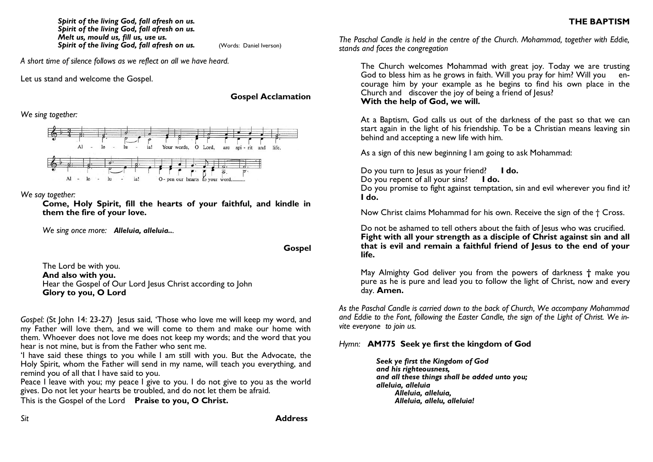*Spirit of the living God, fall afresh on us. Spirit of the living God, fall afresh on us. Melt us, mould us, fill us, use us.*  **Spirit of the living God, fall afresh on us.** (Words: Daniel Iverson)

*A short time of silence follows as we reflect on all we have heard.* 

Let us stand and welcome the Gospel.

#### **Gospel Acclamation**

*We sing together:*



*We say together:*

**Come, Holy Spirit, fill the hearts of your faithful, and kindle in them the fire of your love.** 

*We sing once more: Alleluia, alleluia...*

**Gospel**

The Lord be with you. **And also with you.**  Hear the Gospel of Our Lord Jesus Christ according to John **Glory to you, O Lord**

*Gospel:* (St John 14: 23-27) Jesus said, 'Those who love me will keep my word, and my Father will love them, and we will come to them and make our home with them. Whoever does not love me does not keep my words; and the word that you hear is not mine, but is from the Father who sent me.

'I have said these things to you while I am still with you. But the Advocate, the Holy Spirit, whom the Father will send in my name, will teach you everything, and remind you of all that I have said to you.

Peace I leave with you; my peace I give to you. I do not give to you as the world gives. Do not let your hearts be troubled, and do not let them be afraid.

This is the Gospel of the Lord **Praise to you, O Christ.** 

*The Paschal Candle is held in the centre of the Church. Mohammad, together with Eddie, stands and faces the congregation* 

The Church welcomes Mohammad with great joy. Today we are trusting God to bless him as he grows in faith. Will you pray for him? Will you encourage him by your example as he begins to find his own place in the Church and discover the joy of being a friend of Jesus? **With the help of God, we will.** 

At a Baptism, God calls us out of the darkness of the past so that we can start again in the light of his friendship. To be a Christian means leaving sin behind and accepting a new life with him.

As a sign of this new beginning I am going to ask Mohammad:

Do you turn to Jesus as your friend? **I do.** Do you repent of all your sins? **I do.** Do you promise to fight against temptation, sin and evil wherever you find it? **I do.** 

Now Christ claims Mohammad for his own. Receive the sign of the † Cross.

Do not be ashamed to tell others about the faith of lesus who was crucified. **Fight with all your strength as a disciple of Christ against sin and all that is evil and remain a faithful friend of Jesus to the end of your life.** 

May Almighty God deliver you from the powers of darkness **†** make you pure as he is pure and lead you to follow the light of Christ, now and every day. **Amen.**

*As the Paschal Candle is carried down to the back of Church, We accompany Mohammad and Eddie to the Font, following the Easter Candle, the sign of the Light of Christ. We invite everyone to join us.* 

#### *Hymn:* **AM775 Seek ye first the kingdom of God**

*Seek ye first the Kingdom of God and his righteousness, and all these things shall be added unto you; alleluia, alleluia Alleluia, alleluia, Alleluia, allelu, alleluia!*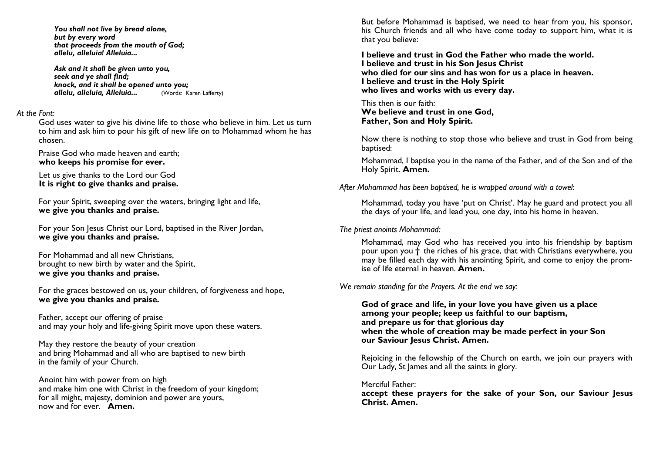*You shall not live by bread alone, but by every word that proceeds from the mouth of God; allelu, alleluia! Alleluia...*

*Ask and it shall be given unto you, seek and ye shall find; knock, and it shall be opened unto you;* allelu, alleluia, Alleluia...

#### *At the Font:*

God uses water to give his divine life to those who believe in him. Let us turn to him and ask him to pour his gift of new life on to Mohammad whom he has chosen.

Praise God who made heaven and earth; **who keeps his promise for ever.**

Let us give thanks to the Lord our God **It is right to give thanks and praise.**

For your Spirit, sweeping over the waters, bringing light and life, **we give you thanks and praise.**

For your Son Jesus Christ our Lord, baptised in the River Jordan, **we give you thanks and praise.**

For Mohammad and all new Christians, brought to new birth by water and the Spirit, **we give you thanks and praise.**

For the graces bestowed on us, your children, of forgiveness and hope, **we give you thanks and praise.**

Father, accept our offering of praise and may your holy and life-giving Spirit move upon these waters.

May they restore the beauty of your creation and bring Mohammad and all who are baptised to new birth in the family of your Church.

Anoint him with power from on high and make him one with Christ in the freedom of your kingdom; for all might, majesty, dominion and power are yours, now and for ever. **Amen.** 

But before Mohammad is baptised, we need to hear from you, his sponsor, his Church friends and all who have come today to support him, what it is that you believe:

**I believe and trust in God the Father who made the world. I believe and trust in his Son Jesus Christ who died for our sins and has won for us a place in heaven. I believe and trust in the Holy Spirit who lives and works with us every day.** 

This then is our faith: **We believe and trust in one God, Father, Son and Holy Spirit.**

Now there is nothing to stop those who believe and trust in God from being baptised:

Mohammad, I baptise you in the name of the Father, and of the Son and of the Holy Spirit. **Amen.** 

*After Mohammad has been baptised, he is wrapped around with a towel:*

Mohammad, today you have 'put on Christ'. May he guard and protect you all the days of your life, and lead you, one day, into his home in heaven.

*The priest anoints Mohammad:*

Mohammad, may God who has received you into his friendship by baptism pour upon you **†** the riches of his grace, that with Christians everywhere, you may be filled each day with his anointing Spirit, and come to enjoy the promise of life eternal in heaven. **Amen.**

*We remain standing for the Prayers. At the end we say:* 

**God of grace and life, in your love you have given us a place among your people; keep us faithful to our baptism, and prepare us for that glorious day when the whole of creation may be made perfect in your Son our Saviour Jesus Christ. Amen.** 

Rejoicing in the fellowship of the Church on earth, we join our prayers with Our Lady, St James and all the saints in glory.

Merciful Father: **accept these prayers for the sake of your Son, our Saviour Jesus Christ. Amen.**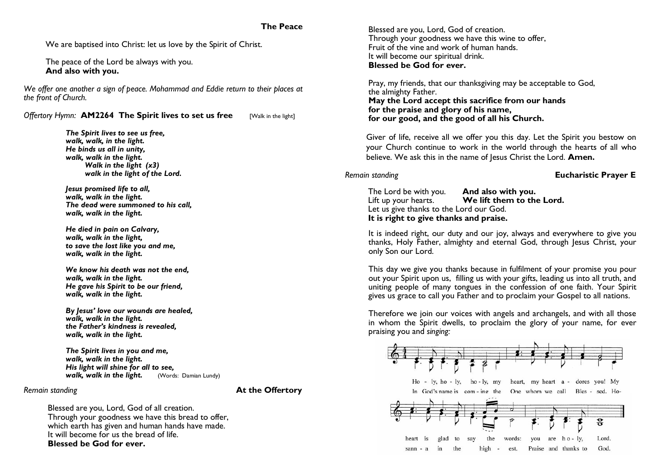#### **The Peace**

We are baptised into Christ: let us love by the Spirit of Christ.

The peace of the Lord be always with you. **And also with you.** 

*We offer one another a sign of peace. Mohammad and Eddie return to their places at the front of Church.* 

*Offertory Hymn:* **AM2264 The Spirit lives to set us free** [Walk in the light]

*The Spirit lives to see us free, walk, walk, in the light. He binds us all in unity, walk, walk in the light. Walk in the light (x3) walk in the light of the Lord.* 

*Jesus promised life to all, walk, walk in the light. The dead were summoned to his call, walk, walk in the light.*

*He died in pain on Calvary, walk, walk in the light, to save the lost like you and me, walk, walk in the light.*

*We know his death was not the end, walk, walk in the light. He gave his Spirit to be our friend, walk, walk in the light.*

*By Jesus' love our wounds are healed, walk, walk in the light. the Father's kindness is revealed, walk, walk in the light.* 

*The Spirit lives in you and me, walk, walk in the light. His light will shine for all to see, walk, walk in the light.* (Words: Damian Lundy)

*Remain standing* **At the Offertory** 

Blessed are you, Lord, God of all creation. Through your goodness we have this bread to offer, which earth has given and human hands have made. It will become for us the bread of life. **Blessed be God for ever.** 

Blessed are you, Lord, God of creation. Through your goodness we have this wine to offer, Fruit of the vine and work of human hands. It will become our spiritual drink. **Blessed be God for ever.** 

Pray, my friends, that our thanksgiving may be acceptable to God, the almighty Father. **May the Lord accept this sacrifice from our hands for the praise and glory of his name, for our good, and the good of all his Church.** 

Giver of life, receive all we offer you this day. Let the Spirit you bestow on your Church continue to work in the world through the hearts of all who believe. We ask this in the name of Jesus Christ the Lord. **Amen.** 

#### *Remain standing* **Eucharistic Prayer E**

The Lord be with you. **And also with you.** We lift them to the Lord. Let us give thanks to the Lord our God. **It is right to give thanks and praise.**

It is indeed right, our duty and our joy, always and everywhere to give you thanks, Holy Father, almighty and eternal God, through Jesus Christ, your only Son our Lord.

This day we give you thanks because in fulfilment of your promise you pour out your Spirit upon us, filling us with your gifts, leading us into all truth, and uniting people of many tongues in the confession of one faith. Your Spirit gives us grace to call you Father and to proclaim your Gospel to all nations.

Therefore we join our voices with angels and archangels, and with all those in whom the Spirit dwells, to proclaim the glory of your name, for ever praising you and *singing:*

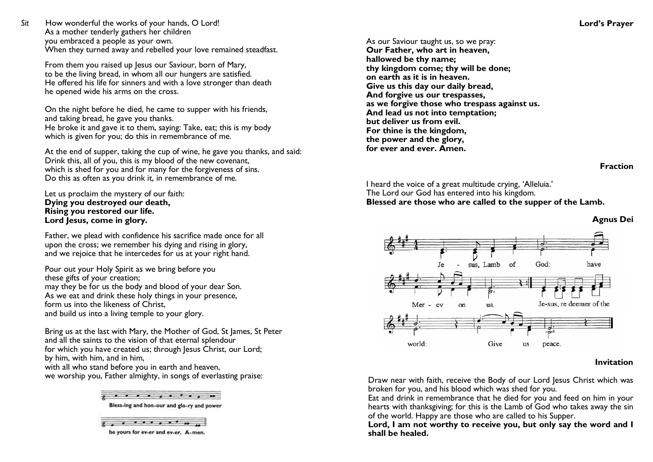*Sit* How wonderful the works of your hands, O Lord! As a mother tenderly gathers her children you embraced a people as your own. When they turned away and rebelled your love remained steadfast.

From them you raised up Jesus our Saviour, born of Mary, to be the living bread, in whom all our hungers are satisfied. He offered his life for sinners and with a love stronger than death he opened wide his arms on the cross.

On the night before he died, he came to supper with his friends, and taking bread, he gave you thanks. He broke it and gave it to them, saying: Take, eat; this is my body which is given for you; do this in remembrance of me.

At the end of supper, taking the cup of wine, he gave you thanks, and said: Drink this, all of you, this is my blood of the new covenant, which is shed for you and for many for the forgiveness of sins. Do this as often as you drink it, in remembrance of me.

Let us proclaim the mystery of our faith: **Dying you destroyed our death, Rising you restored our life. Lord Jesus, come in glory.** 

Father, we plead with confidence his sacrifice made once for all upon the cross; we remember his dying and rising in glory, and we rejoice that he intercedes for us at your right hand.

Pour out your Holy Spirit as we bring before you these gifts of your creation; may they be for us the body and blood of your dear Son. As we eat and drink these holy things in your presence, form us into the likeness of Christ, and build us into a living temple to your glory.

Bring us at the last with Mary, the Mother of God, St James, St Peter and all the saints to the vision of that eternal splendour for which you have created us; through Jesus Christ, our Lord; by him, with him, and in him,

with all who stand before you in earth and heaven, we worship you, Father almighty, in songs of everlasting praise:

Bless-ing and hon-our and glo-ry and power



be yours for ev-er and ev-er. A-men.

As our Saviour taught us, so we pray: **Our Father, who art in heaven, hallowed be thy name; thy kingdom come; thy will be done; on earth as it is in heaven. Give us this day our daily bread, And forgive us our trespasses, as we forgive those who trespass against us. And lead us not into temptation; but deliver us from evil. For thine is the kingdom, the power and the glory, for ever and ever. Amen.** 

#### **Fraction**

I heard the voice of a great multitude crying, 'Alleluia.' The Lord our God has entered into his kingdom. **Blessed are those who are called to the supper of the Lamb.** 





#### **Invitation**

Draw near with faith, receive the Body of our Lord Jesus Christ which was broken for you, and his blood which was shed for you.

Eat and drink in remembrance that he died for you and feed on him in your hearts with thanksgiving; for this is the Lamb of God who takes away the sin of the world. Happy are those who are called to his Supper.

**Lord, I am not worthy to receive you, but only say the word and I shall be healed.**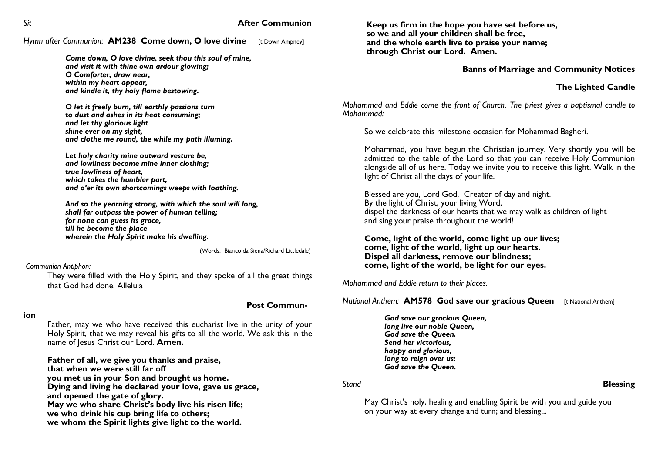#### *Sit* **After Communion**

*Hymn after Communion:* **AM238 Come down, O love divine**[t Down Ampney]

*Come down, O love divine, seek thou this soul of mine, and visit it with thine own ardour glowing; O Comforter, draw near, within my heart appear, and kindle it, thy holy flame bestowing.* 

*O let it freely burn, till earthly passions turn to dust and ashes in its heat consuming; and let thy glorious light shine ever on my sight, and clothe me round, the while my path illuming.*

*Let holy charity mine outward vesture be, and lowliness become mine inner clothing; true lowliness of heart, which takes the humbler part, and o'er its own shortcomings weeps with loathing.* 

*And so the yearning strong, with which the soul will long, shall far outpass the power of human telling; for none can guess its grace, till he become the place wherein the Holy Spirit make his dwelling.* 

(Words: Bianco da Siena/Richard Littledale)

*Communion Antiphon:* 

They were filled with the Holy Spirit, and they spoke of all the great things that God had done. Alleluia

#### **Post Commun-**

#### **ion**

Father, may we who have received this eucharist live in the unity of your Holy Spirit, that we may reveal his gifts to all the world. We ask this in the name of Jesus Christ our Lord. **Amen.** 

**Father of all, we give you thanks and praise, that when we were still far off you met us in your Son and brought us home. Dying and living he declared your love, gave us grace, and opened the gate of glory. May we who share Christ's body live his risen life; we who drink his cup bring life to others; we whom the Spirit lights give light to the world.**

**Keep us firm in the hope you have set before us, so we and all your children shall be free, and the whole earth live to praise your name; through Christ our Lord. Amen.**

#### **Banns of Marriage and Community Notices**

#### **The Lighted Candle**

*Mohammad and Eddie come the front of Church. The priest gives a baptismal candle to Mohammad:* 

So we celebrate this milestone occasion for Mohammad Bagheri.

Mohammad, you have begun the Christian journey. Very shortly you will be admitted to the table of the Lord so that you can receive Holy Communion alongside all of us here. Today we invite you to receive this light. Walk in the light of Christ all the days of your life.

Blessed are you, Lord God, Creator of day and night. By the light of Christ, your living Word, dispel the darkness of our hearts that we may walk as children of light and sing your praise throughout the world!

**Come, light of the world, come light up our lives; come, light of the world, light up our hearts. Dispel all darkness, remove our blindness; come, light of the world, be light for our eyes.**

*Mohammad and Eddie return to their places.* 

*National Anthem:* **AM578 God save our gracious Queen** [t National Anthem]

*God save our gracious Queen, long live our noble Queen, God save the Queen. Send her victorious, happy and glorious, long to reign over us: God save the Queen.* 

*Stand* **Blessing**

May Christ's holy, healing and enabling Spirit be with you and guide you on your way at every change and turn; and blessing...